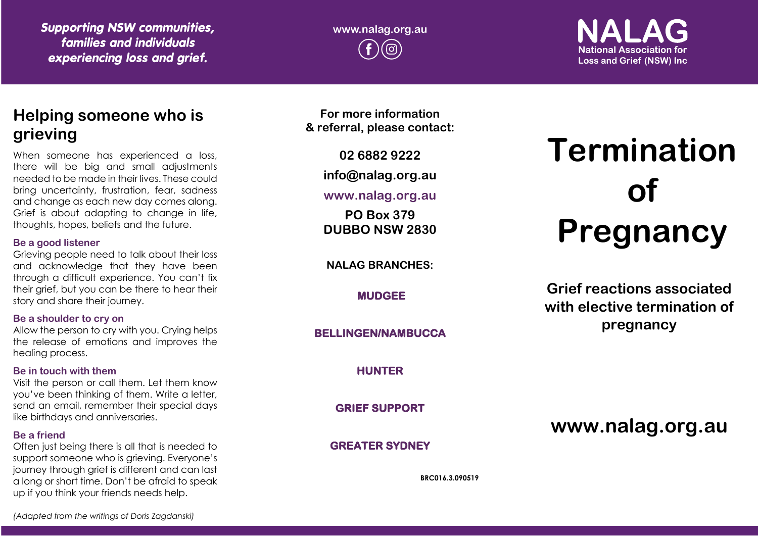*Supporting NSW communities, families and individuals experiencing loss and grief.*

**www.nalag.org.au**

## **National Association for Loss and Grief (NSW) Inc.**

### **Helping someone who is grieving**

When someone has experienced a loss, there will be big and small adjustments needed to be made in their lives. These could bring uncertainty, frustration, fear, sadness and change as each new day comes along. Grief is about adapting to change in life, thoughts, hopes, beliefs and the future.

#### **Be a good listener**

Grieving people need to talk about their loss and acknowledge that they have been through a difficult experience. You can't fix their grief, but you can be there to hear their story and share their journey.

### **Be a shoulder to cry on**

Allow the person to cry with you. Crying helps the release of emotions and improves the healing process.

### **Be in touch with them**

Visit the person or call them. Let them know you've been thinking of them. Write a letter, send an email, remember their special days like birthdays and anniversaries.

### **Be a friend**

Often just being there is all that is needed to support someone who is grieving. Everyone's journey through grief is different and can last a long or short time. Don't be afraid to speak up if you think your friends needs help.

**For more information & referral, please contact:**

**02 6882 9222**

**info@nalag.org.au**

### **www.nalag.org.au**

**PO Box 379 DUBBO NSW 2830**

**NALAG BRANCHES:**

**MUDGEE** 

**BELLINGEN/NAMBUCCA** 

**HUNTER** 

**GRIEF SUPPORT** 

**GREATER SYDNEY** 

**BRC016.3.090519**

# **Termination of Pregnancy**

**Grief reactions associated with elective termination of pregnancy**

**www.nalag.org.au**

*(Adapted from the writings of Doris Zagdanski)*